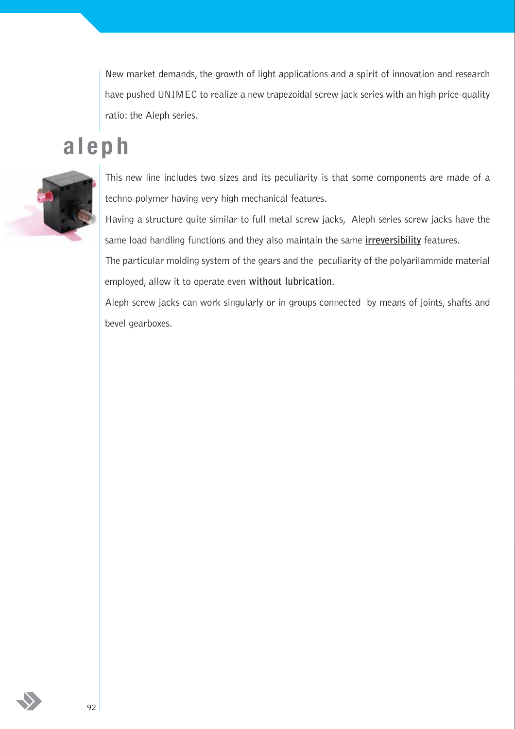New market demands, the growth of light applications and a spirit of innovation and research have pushed UNIMEC to realize a new trapezoidal screw jack series with an high price-quality ratio: the Aleph series.

# **aleph**



This new line includes two sizes and its peculiarity is that some components are made of a techno-polymer having very high mechanical features.

Having a structure quite similar to full metal screw jacks, Aleph series screw jacks have the same load handling functions and they also maintain the same **irreversibility** features.

The particular molding system of the gears and the peculiarity of the polyarilammide material employed, allow it to operate even **without lubrication**.

Aleph screw jacks can work singularly or in groups connected by means of joints, shafts and bevel gearboxes.

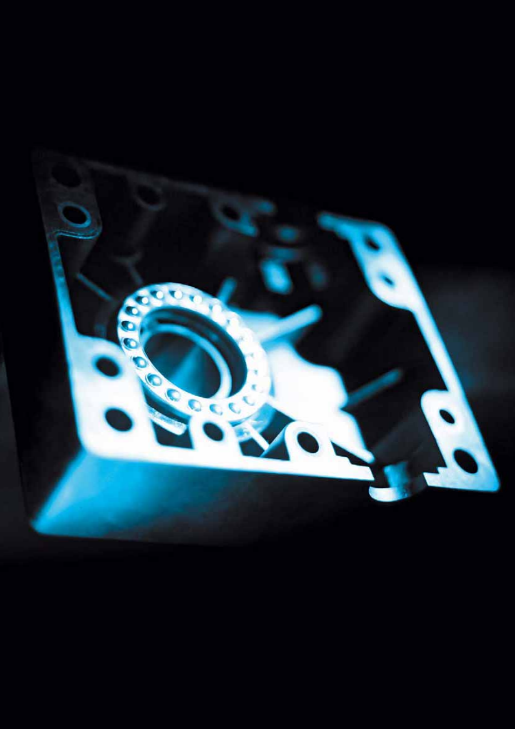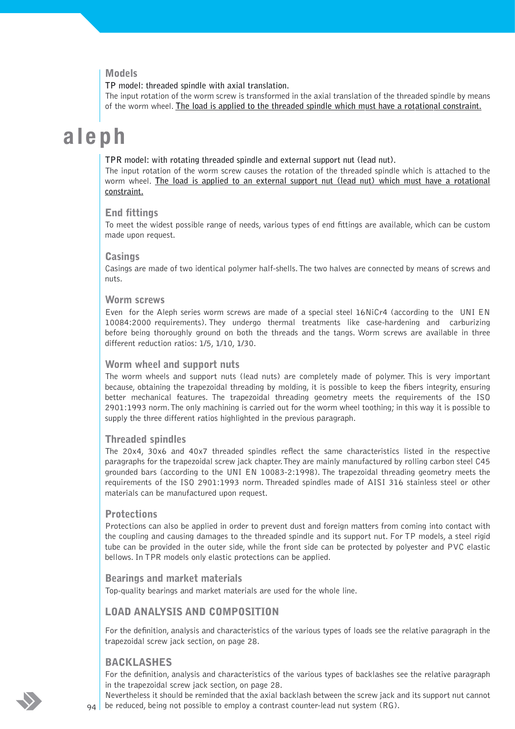#### **Models**

**TP model: threaded spindle with axial translation.**

The input rotation of the worm screw is transformed in the axial translation of the threaded spindle by means of the worm wheel. **The load is applied to the threaded spindle which must have a rotational constraint.**

# **aleph**

**TPR model: with rotating threaded spindle and external support nut (lead nut).**

The input rotation of the worm screw causes the rotation of the threaded spindle which is attached to the worm wheel. **The load is applied to an external support nut (lead nut) which must have a rotational constraint.**

### **End fittings**

To meet the widest possible range of needs, various types of end fittings are available, which can be custom made upon request.

#### **Casings**

Casings are made of two identical polymer half-shells.The two halves are connected by means of screws and nuts.

## **Worm screws**

Even for the Aleph series worm screws are made of a special steel 16NiCr4 (according to the UNI EN 10084:2000 requirements). They undergo thermal treatments like case-hardening and carburizing before being thoroughly ground on both the threads and the tangs. Worm screws are available in three different reduction ratios: 1/5, 1/10, 1/30.

#### **Worm wheel and support nuts**

The worm wheels and support nuts (lead nuts) are completely made of polymer. This is very important because, obtaining the trapezoidal threading by molding, it is possible to keep the fibers integrity, ensuring better mechanical features. The trapezoidal threading geometry meets the requirements of the ISO 2901:1993 norm.The only machining is carried out for the worm wheel toothing; in this way it is possible to supply the three different ratios highlighted in the previous paragraph.

#### **Threaded spindles**

The 20x4, 30x6 and 40x7 threaded spindles reflect the same characteristics listed in the respective paragraphs for the trapezoidal screw jack chapter.They are mainly manufactured by rolling carbon steel C45 grounded bars (according to the UNI EN 10083-2:1998). The trapezoidal threading geometry meets the requirements of the ISO 2901:1993 norm. Threaded spindles made of AISI 316 stainless steel or other materials can be manufactured upon request.

#### **Protections**

Protections can also be applied in order to prevent dust and foreign matters from coming into contact with the coupling and causing damages to the threaded spindle and its support nut. For TP models, a steel rigid tube can be provided in the outer side, while the front side can be protected by polyester and PVC elastic bellows. In TPR models only elastic protections can be applied.

#### **Bearings and market materials**

Top-quality bearings and market materials are used for the whole line.

## **LOAD ANALYSIS AND COMPOSITION**

For the definition, analysis and characteristics of the various types of loads see the relative paragraph in the trapezoidal screw jack section, on page 28.

#### **BACKLASHES**

For the definition, analysis and characteristics of the various types of backlashes see the relative paragraph in the trapezoidal screw jack section, on page 28.

Nevertheless it should be reminded that the axial backlash between the screw jack and its support nut cannot  $94$  be reduced, being not possible to employ a contrast counter-lead nut system (RG).

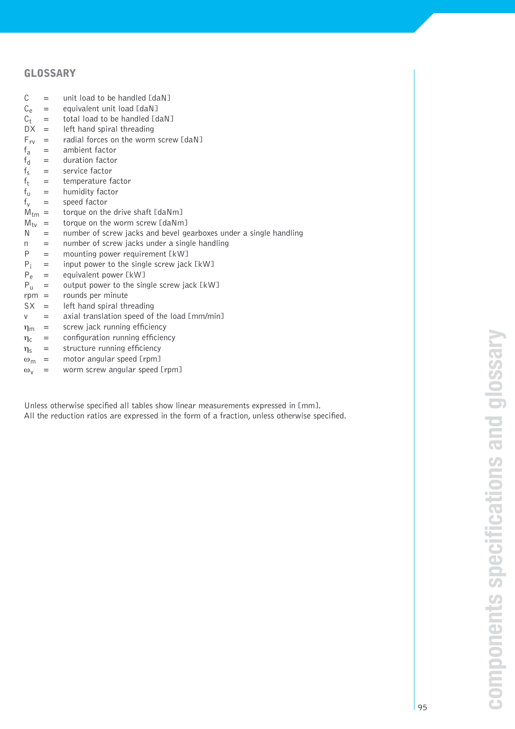## **GLOSSARY**

- $C =$  unit load to be handled  $[daN]$
- $C_e$  = equivalent unit load [daN]<br> $C_t$  = total load to be handled [d
- $C_t$  = total load to be handled [daN]<br> $DX$  = left hand spiral threading
- $=$  left hand spiral threading
- $F_{rv}$  = radial forces on the worm screw [daN]
- $f_a$  = ambient factor<br> $f_d$  = duration factor
- $f_d$  = duration factor<br> $f_s$  = service factor
- 
- $f_t$  = temperature factor
- $f_u$  = humidity factor
- $f_v$  = speed factor
- $M_{tm}$  = torque on the drive shaft [daNm]
- $M_{\text{tv}}$  = torque on the worm screw [daNm]<br>N = number of screw jacks and bevel ge
- $=$  number of screw jacks and bevel gearboxes under a single handling
- n = number of screw jacks under a single handling
- P = mounting power requirement [kW]
- $P_i$  = input power to the single screw jack [kW]
- $P_e$  = equivalent power [kW]
- $P_u$  = output power to the single screw jack [kW]
- $rpm =$  rounds per minute
- $SX =$  left hand spiral threading
- $v =$  axial translation speed of the load  $\text{Imm/min}$
- $\eta_m$  = screw jack running efficiency
- $\eta_c$  = configuration running efficiency
- $\eta_s$  = structure running efficiency
- $\omega_m$  = motor angular speed [rpm]
- $\omega_{v}$  = worm screw angular speed [rpm]

Unless otherwise specified all tables show linear measurements expressed in [mm]. All the reduction ratios are expressed in the form of a fraction, unless otherwise specified.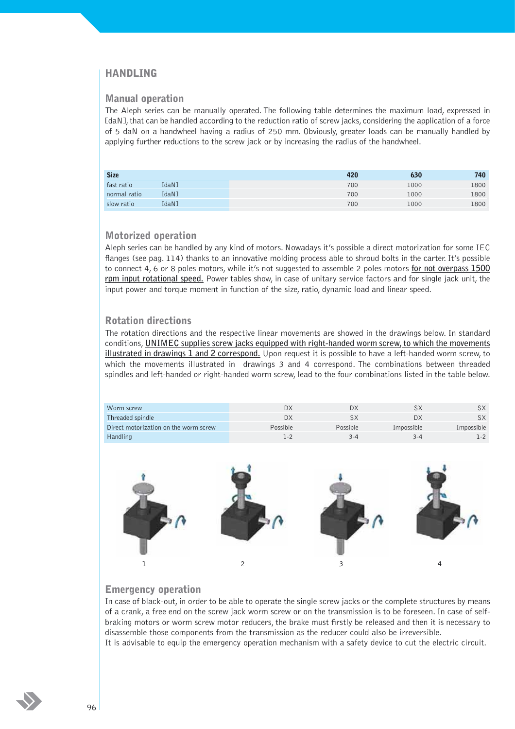## **HANDLING**

#### **Manual operation**

The Aleph series can be manually operated. The following table determines the maximum load, expressed in [daN], that can be handled according to the reduction ratio of screw jacks, considering the application of a force of 5 daN on a handwheel having a radius of 250 mm. Obviously, greater loads can be manually handled by applying further reductions to the screw jack or by increasing the radius of the handwheel.

| <b>Size</b>  |       | 420 | 630  | 740  |
|--------------|-------|-----|------|------|
| fast ratio   | [daN] | 700 | 1000 | 1800 |
| normal ratio | [daN] | 700 | 1000 | 1800 |
| slow ratio   | [daN] | 700 | 1000 | 1800 |

#### **Motorized operation**

Aleph series can be handled by any kind of motors. Nowadays it's possible a direct motorization for some IEC flanges (see pag. 114) thanks to an innovative molding process able to shroud bolts in the carter. It's possible to connect 4, 6 or 8 poles motors, while it's not suggested to assemble 2 poles motors **for not overpass 1500 rpm input rotational speed.** Power tables show, in case of unitary service factors and for single jack unit, the input power and torque moment in function of the size, ratio, dynamic load and linear speed.

## **Rotation directions**

The rotation directions and the respective linear movements are showed in the drawings below. In standard conditions, **UNIMEC supplies screw jacks equipped with right-handed worm screw, to which the movements illustrated in drawings 1 and 2 correspond.** Upon request it is possible to have a left-handed worm screw, to which the movements illustrated in drawings 3 and 4 correspond. The combinations between threaded spindles and left-handed or right-handed worm screw, lead to the four combinations listed in the table below.

| Worm screw                            |          | DX       |            |            |
|---------------------------------------|----------|----------|------------|------------|
| Threaded spindle                      |          |          |            |            |
| Direct motorization on the worm screw | Possible | Possible | Impossible | Impossible |
| Handling                              | 1-2      | 3−4      | 3−4        | $1 - 2$    |



#### **Emergency operation**

In case of black-out, in order to be able to operate the single screw jacks or the complete structures by means of a crank, a free end on the screw jack worm screw or on the transmission is to be foreseen. In case of selfbraking motors or worm screw motor reducers, the brake must firstly be released and then it is necessary to disassemble those components from the transmission as the reducer could also be irreversible. It is advisable to equip the emergency operation mechanism with a safety device to cut the electric circuit.

96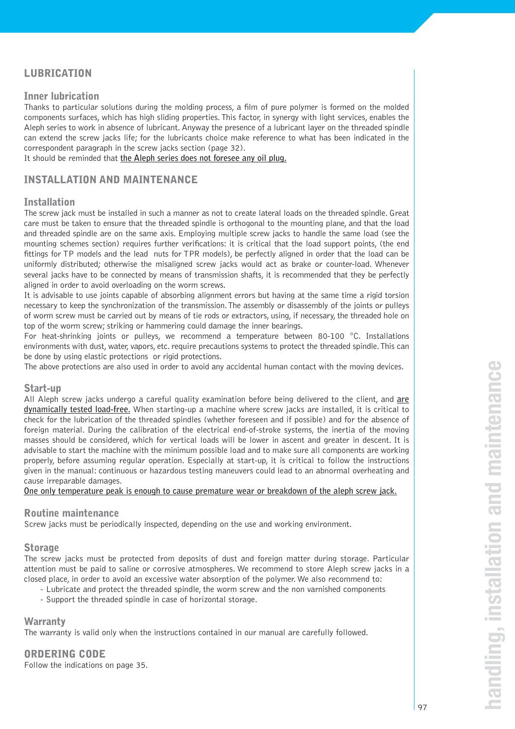## **LUBRICATION**

## **Inner lubrication**

Thanks to particular solutions during the molding process, a film of pure polymer is formed on the molded components surfaces, which has high sliding properties.This factor, in synergy with light services, enables the Aleph series to work in absence of lubricant. Anyway the presence of a lubricant layer on the threaded spindle can extend the screw jacks life; for the lubricants choice make reference to what has been indicated in the correspondent paragraph in the screw jacks section (page 32).

It should be reminded that **the Aleph series does not foresee any oil plug.**

## **INSTALLATION AND MAINTENANCE**

## **Installation**

The screw jack must be installed in such a manner as not to create lateral loads on the threaded spindle. Great care must be taken to ensure that the threaded spindle is orthogonal to the mounting plane, and that the load and threaded spindle are on the same axis. Employing multiple screw jacks to handle the same load (see the mounting schemes section) requires further verifications: it is critical that the load support points, (the end fittings for TP models and the lead nuts for TPR models), be perfectly aligned in order that the load can be uniformly distributed; otherwise the misaligned screw jacks would act as brake or counter-load. Whenever several jacks have to be connected by means of transmission shafts, it is recommended that they be perfectly aligned in order to avoid overloading on the worm screws.

It is advisable to use joints capable of absorbing alignment errors but having at the same time a rigid torsion necessary to keep the synchronization of the transmission.The assembly or disassembly of the joints or pulleys of worm screw must be carried out by means of tie rods or extractors, using, if necessary, the threaded hole on top of the worm screw; striking or hammering could damage the inner bearings.

For heat-shrinking joints or pulleys, we recommend a temperature between 80-100 °C. Installations environments with dust, water, vapors, etc. require precautions systems to protect the threaded spindle.This can be done by using elastic protections or rigid protections.

The above protections are also used in order to avoid any accidental human contact with the moving devices.

## **Start-up**

All Aleph screw jacks undergo a careful quality examination before being delivered to the client, and **are dynamically tested load-free.** When starting-up a machine where screw jacks are installed, it is critical to check for the lubrication of the threaded spindles (whether foreseen and if possible) and for the absence of foreign material. During the calibration of the electrical end-of-stroke systems, the inertia of the moving masses should be considered, which for vertical loads will be lower in ascent and greater in descent. It is advisable to start the machine with the minimum possible load and to make sure all components are working properly, before assuming regular operation. Especially at start-up, it is critical to follow the instructions given in the manual: continuous or hazardous testing maneuvers could lead to an abnormal overheating and cause irreparable damages.

**One only temperature peak is enough to cause premature wear or breakdown of the aleph screw jack.**

## **Routine maintenance**

Screw jacks must be periodically inspected, depending on the use and working environment.

## **Storage**

The screw jacks must be protected from deposits of dust and foreign matter during storage. Particular attention must be paid to saline or corrosive atmospheres. We recommend to store Aleph screw jacks in a closed place, in order to avoid an excessive water absorption of the polymer. We also recommend to:

- Lubricate and protect the threaded spindle, the worm screw and the non varnished components
- Support the threaded spindle in case of horizontal storage.

## **Warranty**

The warranty is valid only when the instructions contained in our manual are carefully followed.

## **ORDERING CODE**

Follow the indications on page 35.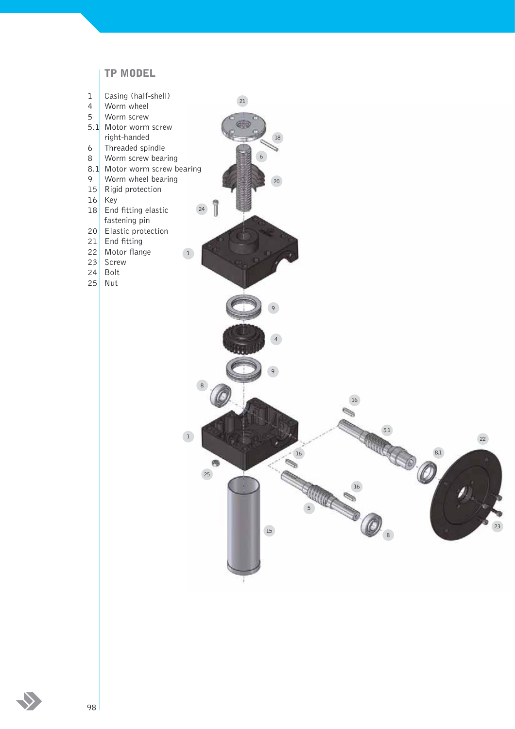## **TP MODEL**

- 1 Casing (half-shell)
- 4 Worm wheel
- 5 Worm screw
- 5.1 Motor worm screw right-handed
- 6 Threaded spindle
- 8 Worm screw bearing
- 8.1 Motor worm screw bearing

21

18

6

- 9 Worm wheel bearing
- 15 Rigid protection
- $16$  Key
- 18 End fitting elastic fastening pin
- 20 Elastic protection
- 21 End fitting
- 22 Motor flange
- 23 Screw
- $24$  Bolt
- $25$  Nut

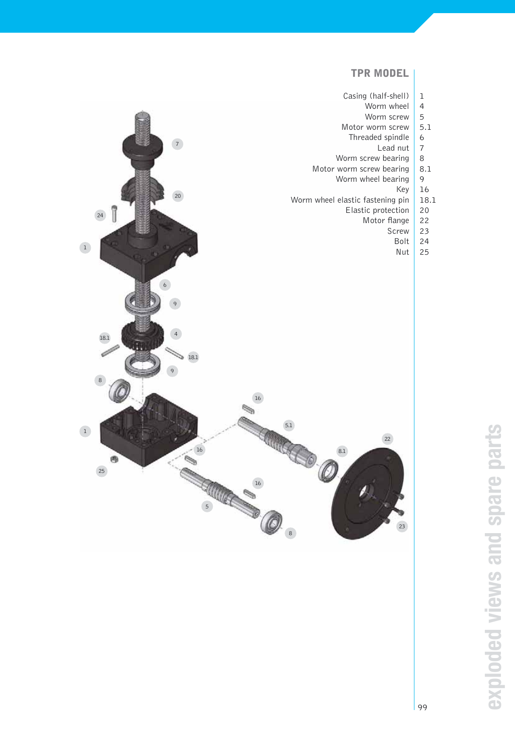## **TPR MODEL**

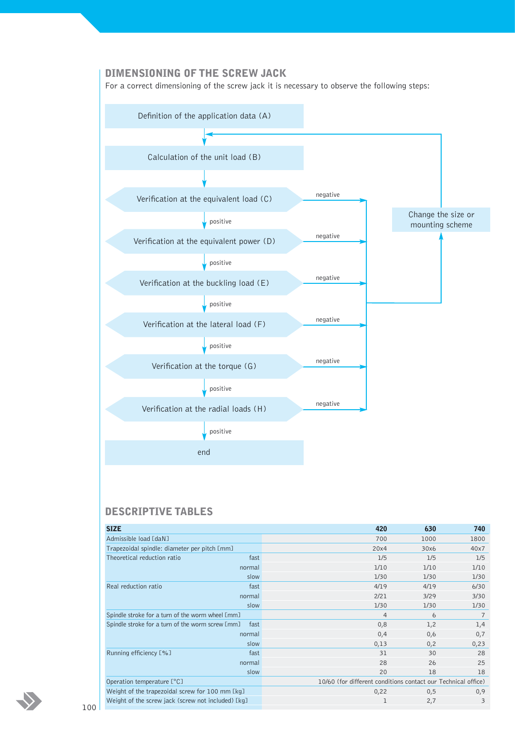## **DIMENSIONING OF THE SCREW JACK**

For a correct dimensioning of the screw jack it is necessary to observe the following steps:



## **DESCRIPTIVE TABLES**

| <b>SIZE</b>                                        |        | 420            | 630                                                           | 740  |
|----------------------------------------------------|--------|----------------|---------------------------------------------------------------|------|
| Admissible load [daN]                              |        | 700            | 1000                                                          | 1800 |
| Trapezoidal spindle: diameter per pitch [mm]       |        | 20x4           | 30x6                                                          | 40x7 |
| Theoretical reduction ratio                        | fast   | 1/5            | 1/5                                                           | 1/5  |
|                                                    | normal | 1/10           | 1/10                                                          | 1/10 |
|                                                    | slow   | 1/30           | 1/30                                                          | 1/30 |
| Real reduction ratio                               | fast   | 4/19           | 4/19                                                          | 6/30 |
|                                                    | normal | 2/21           | 3/29                                                          | 3/30 |
|                                                    | slow   | 1/30           | 1/30                                                          | 1/30 |
| Spindle stroke for a turn of the worm wheel [mm]   |        | $\overline{4}$ | 6                                                             | 7    |
| Spindle stroke for a turn of the worm screw [mm]   | fast   | 0,8            | 1,2                                                           | 1,4  |
|                                                    | normal | 0,4            | 0,6                                                           | 0,7  |
|                                                    | slow   | 0,13           | 0,2                                                           | 0,23 |
| Running efficiency [%]                             | fast   | 31             | 30                                                            | 28   |
|                                                    | normal | 28             | 26                                                            | 25   |
|                                                    | slow   | 20             | 18                                                            | 18   |
| Operation temperature [°C]                         |        |                | 10/60 (for different conditions contact our Technical office) |      |
| Weight of the trapezoidal screw for 100 mm [kg]    |        | 0,22           | 0,5                                                           | 0,9  |
| Weight of the screw jack (screw not included) [kq] |        |                | 2,7                                                           | 3    |
|                                                    |        |                |                                                               |      |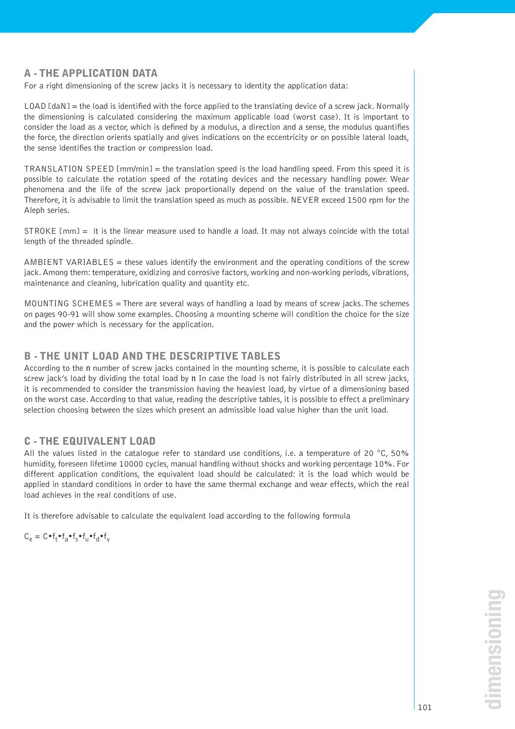## **A - THE APPLICATION DATA**

For a right dimensioning of the screw jacks it is necessary to identity the application data:

LOAD [daN] = the load is identified with the force applied to the translating device of a screw jack. Normally the dimensioning is calculated considering the maximum applicable load (worst case). It is important to consider the load as a vector, which is defined by a modulus, a direction and a sense, the modulus quantifies the force, the direction orients spatially and gives indications on the eccentricity or on possible lateral loads, the sense identifies the traction or compression load.

TRANSLATION SPEED [mm/min] = the translation speed is the load handling speed. From this speed it is possible to calculate the rotation speed of the rotating devices and the necessary handling power. Wear phenomena and the life of the screw jack proportionally depend on the value of the translation speed. Therefore, it is advisable to limit the translation speed as much as possible. NEVER exceed 1500 rpm for the Aleph series.

STROKE [mm] = it is the linear measure used to handle a load. It may not always coincide with the total length of the threaded spindle.

AMBIENT VARIABLES = these values identify the environment and the operating conditions of the screw jack. Among them: temperature, oxidizing and corrosive factors, working and non-working periods, vibrations, maintenance and cleaning, lubrication quality and quantity etc.

MOUNTING SCHEMES = There are several ways of handling a load by means of screw jacks.The schemes on pages 90-91 will show some examples. Choosing a mounting scheme will condition the choice for the size and the power which is necessary for the application.

## **B - THE UNIT LOAD AND THE DESCRIPTIVE TABLES**

According to the **n** number of screw jacks contained in the mounting scheme, it is possible to calculate each screw jack's load by dividing the total load by **n** In case the load is not fairly distributed in all screw jacks, it is recommended to consider the transmission having the heaviest load, by virtue of a dimensioning based on the worst case. According to that value, reading the descriptive tables, it is possible to effect a preliminary selection choosing between the sizes which present an admissible load value higher than the unit load.

## **C - THE EQUIVALENT LOAD**

All the values listed in the catalogue refer to standard use conditions, i.e. a temperature of 20 °C, 50% humidity, foreseen lifetime 10000 cycles, manual handling without shocks and working percentage 10%. For different application conditions, the equivalent load should be calculated: it is the load which would be applied in standard conditions in order to have the same thermal exchange and wear effects, which the real load achieves in the real conditions of use.

It is therefore advisable to calculate the equivalent load according to the following formula

 $C_e = C \cdot f_t \cdot f_a \cdot f_s \cdot f_u \cdot f_d \cdot f_v$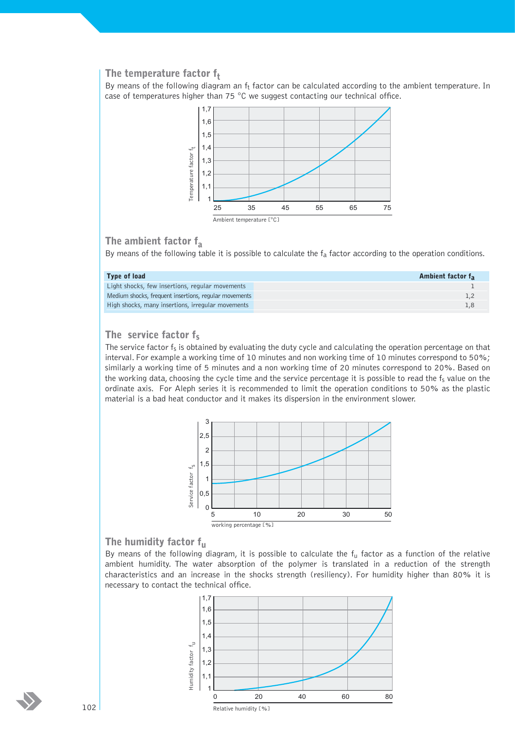#### **The temperature factor f<sub>t</sub>**

By means of the following diagram an  $f_t$  factor can be calculated according to the ambient temperature. In case of temperatures higher than 75 °C we suggest contacting our technical office.



## **The ambient factor fa**

By means of the following table it is possible to calculate the  $f_a$  factor according to the operation conditions.

| Type of load                                          | <b>Ambient factor fa</b> |
|-------------------------------------------------------|--------------------------|
| Light shocks, few insertions, regular movements       |                          |
| Medium shocks, frequent insertions, regular movements |                          |
| High shocks, many insertions, irregular movements     |                          |
|                                                       |                          |

## **The service factor fs**

The service factor f<sub>s</sub> is obtained by evaluating the duty cycle and calculating the operation percentage on that interval. For example a working time of 10 minutes and non working time of 10 minutes correspond to 50%; similarly a working time of 5 minutes and a non working time of 20 minutes correspond to 20%. Based on the working data, choosing the cycle time and the service percentage it is possible to read the  $f_s$  value on the ordinate axis. For Aleph series it is recommended to limit the operation conditions to 50% as the plastic material is a bad heat conductor and it makes its dispersion in the environment slower.



#### **The humidity factor f<sub>u</sub>**

By means of the following diagram, it is possible to calculate the  $f_{\mu}$  factor as a function of the relative ambient humidity. The water absorption of the polymer is translated in a reduction of the strength characteristics and an increase in the shocks strength (resiliency). For humidity higher than 80% it is necessary to contact the technical office.

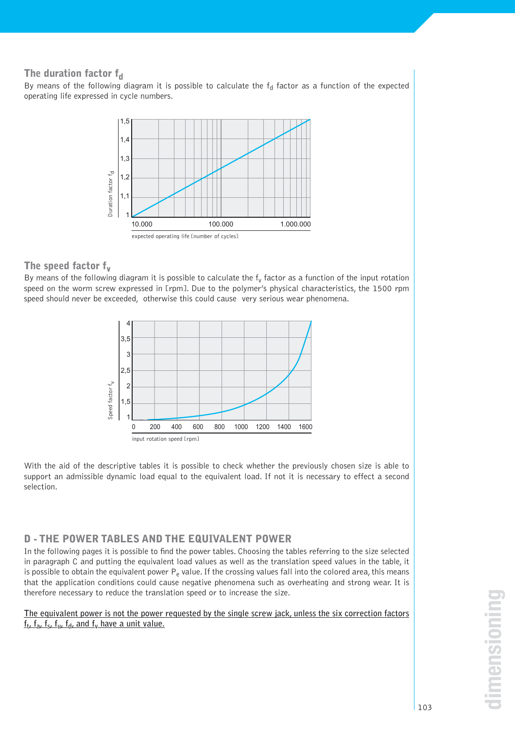## **The duration factor f<sub>d</sub>**

By means of the following diagram it is possible to calculate the  $f<sub>d</sub>$  factor as a function of the expected operating life expressed in cycle numbers.



## The speed factor f<sub>v</sub>

By means of the following diagram it is possible to calculate the  $f<sub>v</sub>$  factor as a function of the input rotation speed on the worm screw expressed in [rpm]. Due to the polymer's physical characteristics, the 1500 rpm speed should never be exceeded, otherwise this could cause very serious wear phenomena.



With the aid of the descriptive tables it is possible to check whether the previously chosen size is able to support an admissible dynamic load equal to the equivalent load. If not it is necessary to effect a second selection.

## **D - THE POWER TABLES AND THE EQUIVALENT POWER**

In the following pages it is possible to find the power tables. Choosing the tables referring to the size selected in paragraph C and putting the equivalent load values as well as the translation speed values in the table, it is possible to obtain the equivalent power  $P_e$  value. If the crossing values fall into the colored area, this means that the application conditions could cause negative phenomena such as overheating and strong wear. It is therefore necessary to reduce the translation speed or to increase the size.

**The equivalent power is not the power requested by the single screw jack, unless the six correction factors**  $f_{t}$ ,  $f_{a}$ ,  $f_{s}$ ,  $f_{u}$ ,  $f_{d}$ , and  $f_{v}$  have a unit value.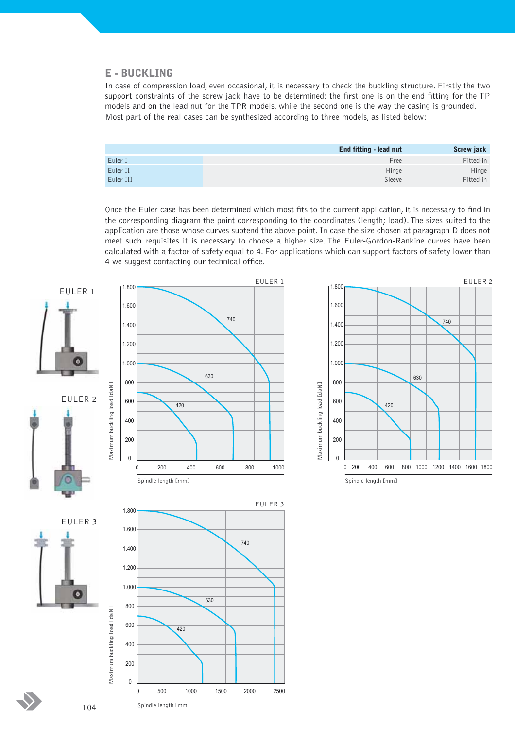#### **E - BUCKLING**

In case of compression load, even occasional, it is necessary to check the buckling structure. Firstly the two support constraints of the screw jack have to be determined: the first one is on the end fitting for the TP models and on the lead nut for the TPR models, while the second one is the way the casing is grounded. Most part of the real cases can be synthesized according to three models, as listed below:

| End fitting - lead nut | Screw jack |
|------------------------|------------|
| Free                   | Fitted-in  |
| Hinge                  | Hinge      |
| Sleeve                 | Fitted-in  |
|                        |            |

Once the Euler case has been determined which most fits to the current application, it is necessary to find in the corresponding diagram the point corresponding to the coordinates (length; load).The sizes suited to the application are those whose curves subtend the above point. In case the size chosen at paragraph D does not meet such requisites it is necessary to choose a higher size. The Euler-Gordon-Rankine curves have been calculated with a factor of safety equal to 4. For applications which can support factors of safety lower than 4 we suggest contacting our technical office.

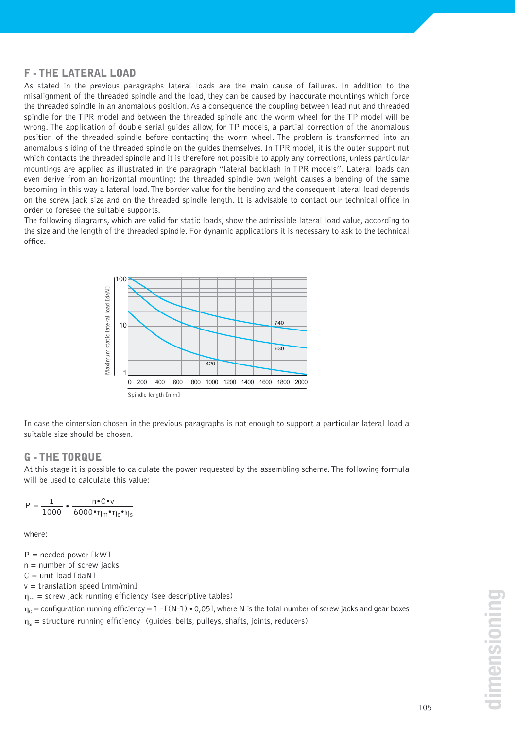## **F - THE LATERAL LOAD**

As stated in the previous paragraphs lateral loads are the main cause of failures. In addition to the misalignment of the threaded spindle and the load, they can be caused by inaccurate mountings which force the threaded spindle in an anomalous position. As a consequence the coupling between lead nut and threaded spindle for the TPR model and between the threaded spindle and the worm wheel for the TP model will be wrong. The application of double serial guides allow, for TP models, a partial correction of the anomalous position of the threaded spindle before contacting the worm wheel. The problem is transformed into an anomalous sliding of the threaded spindle on the guides themselves. In TPR model, it is the outer support nut which contacts the threaded spindle and it is therefore not possible to apply any corrections, unless particular mountings are applied as illustrated in the paragraph "lateral backlash in TPR models". Lateral loads can even derive from an horizontal mounting: the threaded spindle own weight causes a bending of the same becoming in this way a lateral load.The border value for the bending and the consequent lateral load depends on the screw jack size and on the threaded spindle length. It is advisable to contact our technical office in order to foresee the suitable supports.

The following diagrams, which are valid for static loads, show the admissible lateral load value, according to the size and the length of the threaded spindle. For dynamic applications it is necessary to ask to the technical office.



In case the dimension chosen in the previous paragraphs is not enough to support a particular lateral load a suitable size should be chosen.

## **G - THE TORQUE**

At this stage it is possible to calculate the power requested by the assembling scheme.The following formula will be used to calculate this value:

$$
P = \frac{1}{1000} \cdot \frac{n \cdot C \cdot v}{6000 \cdot \eta_m \cdot \eta_c \cdot \eta_s}
$$

where:

 $P =$  needed power  $[KW]$ 

 $n =$  number of screw jacks

 $C =$  unit load  $EdAN$ ]

 $v =$  translation speed [mm/min]

 $\eta_m$  = screw jack running efficiency (see descriptive tables)

 $\eta_c$  = configuration running efficiency = 1 -  $[(N-1) \cdot 0,05]$ , where N is the total number of screw jacks and gear boxes

 $\eta_s$  = structure running efficiency (guides, belts, pulleys, shafts, joints, reducers)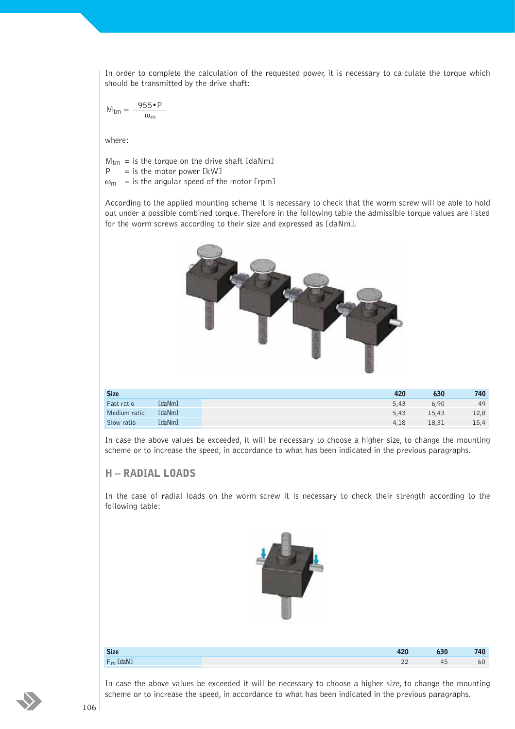In order to complete the calculation of the requested power, it is necessary to calculate the torque which should be transmitted by the drive shaft:

$$
M_{tm} = \frac{955 \cdot P}{\omega_m}
$$

where:

 $M_{tm}$  = is the torque on the drive shaft [daNm]  $P =$  is the motor power [kW]  $\omega_m$  = is the angular speed of the motor [rpm]

According to the applied mounting scheme it is necessary to check that the worm screw will be able to hold out under a possible combined torque.Therefore in the following table the admissible torque values are listed for the worm screws according to their size and expressed as [daNm].



| <b>Size</b>  |        | 420  | 630   | 740  |
|--------------|--------|------|-------|------|
| Fast ratio   | [daNm] | 5,43 | 6,90  | 49   |
| Medium ratio | [daNm] | 5,43 | 15,43 | 12,8 |
| Slow ratio   | [daNm] | 4,18 | 18,31 | 15,4 |

In case the above values be exceeded, it will be necessary to choose a higher size, to change the mounting scheme or to increase the speed, in accordance to what has been indicated in the previous paragraphs.

## **H – RADIAL LOADS**

In the case of radial loads on the worm screw it is necessary to check their strength according to the following table:



In case the above values be exceeded it will be necessary to choose a higher size, to change the mounting scheme or to increase the speed, in accordance to what has been indicated in the previous paragraphs.

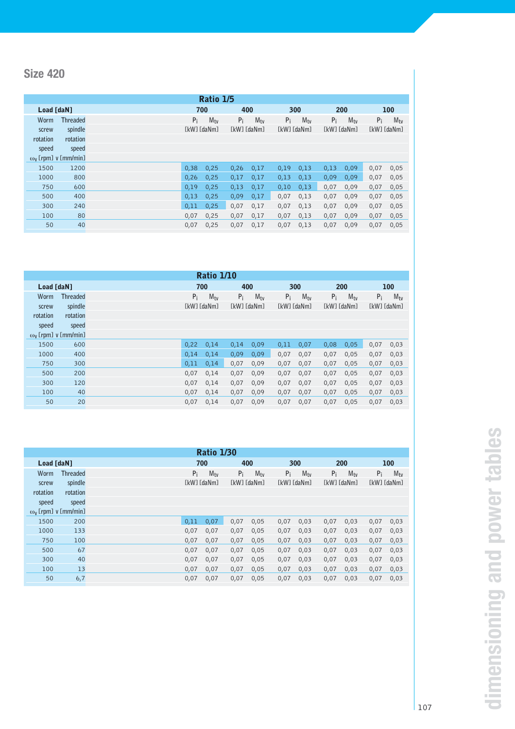# **Size 420**

|            | Ratio 1/5                         |  |                    |                 |                    |                 |                    |                 |                    |                 |                    |                 |
|------------|-----------------------------------|--|--------------------|-----------------|--------------------|-----------------|--------------------|-----------------|--------------------|-----------------|--------------------|-----------------|
| Load [daN] |                                   |  |                    | 700             | 400                |                 | 300                |                 |                    | 200             |                    | 100             |
| Worm       | <b>Threaded</b>                   |  | $P_i$              | $M_{\text{tv}}$ | $P_i$              | $M_{\text{tv}}$ | $P_i$              | $M_{\text{tv}}$ | $P_i$              | $M_{\text{tv}}$ | $P_i$              | $M_{\text{tv}}$ |
| screw      | spindle                           |  | <b>TkW1 [daNm]</b> |                 | <b>TkW1 [daNm]</b> |                 | <b>TkW1 [daNm]</b> |                 | <b>TkW1 [daNm]</b> |                 | <b>TkW1 [daNm]</b> |                 |
| rotation   | rotation                          |  |                    |                 |                    |                 |                    |                 |                    |                 |                    |                 |
| speed      | speed                             |  |                    |                 |                    |                 |                    |                 |                    |                 |                    |                 |
|            | $\omega_{\rm V}$ [rpm] v [mm/min] |  |                    |                 |                    |                 |                    |                 |                    |                 |                    |                 |
| 1500       | 1200                              |  | 0,38               | 0,25            | 0,26               | 0,17            | 0,19               | 0,13            | 0,13               | 0,09            | 0,07               | 0,05            |
| 1000       | 800                               |  | 0,26               | 0,25            | 0,17               | 0,17            | 0,13               | 0,13            | 0,09               | 0,09            | 0,07               | 0,05            |
| 750        | 600                               |  | 0.19               | 0,25            | 0,13               | 0,17            | 0,10               | 0,13            | 0,07               | 0,09            | 0,07               | 0,05            |
| 500        | 400                               |  | 0,13               | 0,25            | 0,09               | 0,17            | 0,07               | 0,13            | 0,07               | 0,09            | 0,07               | 0,05            |
| 300        | 240                               |  | 0,11               | 0,25            | 0,07               | 0,17            | 0,07               | 0,13            | 0,07               | 0,09            | 0,07               | 0,05            |
| 100        | 80                                |  | 0,07               | 0,25            | 0,07               | 0,17            | 0,07               | 0,13            | 0,07               | 0,09            | 0,07               | 0,05            |
| 50         | 40                                |  | 0,07               | 0,25            | 0,07               | 0,17            | 0,07               | 0,13            | 0,07               | 0,09            | 0,07               | 0,05            |

|            | <b>Ratio 1/10</b>                 |  |                    |                 |                    |                 |             |                 |                    |                 |                    |                 |
|------------|-----------------------------------|--|--------------------|-----------------|--------------------|-----------------|-------------|-----------------|--------------------|-----------------|--------------------|-----------------|
| Load [daN] |                                   |  |                    | 700             | 400                |                 | 300         |                 |                    | 200             |                    | 100             |
| Worm       | <b>Threaded</b>                   |  | P <sub>i</sub>     | $M_{\text{tv}}$ | $P_i$              | $M_{\text{tv}}$ | $P_i$       | $M_{\text{tv}}$ | $P_i$              | $M_{\text{tv}}$ | $P_i$              | $M_{\text{tv}}$ |
| screw      | spindle                           |  | <b>TkW1 [daNm]</b> |                 | <b>TkW1 [daNm]</b> |                 | [kW] [daNm] |                 | <b>TkW1 [daNm]</b> |                 | <b>TkW1 [daNm]</b> |                 |
| rotation   | rotation                          |  |                    |                 |                    |                 |             |                 |                    |                 |                    |                 |
| speed      | speed                             |  |                    |                 |                    |                 |             |                 |                    |                 |                    |                 |
|            | $\omega_{\rm v}$ [rpm] v [mm/min] |  |                    |                 |                    |                 |             |                 |                    |                 |                    |                 |
| 1500       | 600                               |  | 0,22               | 0,14            | 0,14               | 0,09            | 0,11        | 0,07            | 0,08               | 0,05            | 0,07               | 0,03            |
| 1000       | 400                               |  | 0.14               | 0,14            | 0,09               | 0,09            | 0,07        | 0,07            | 0,07               | 0,05            | 0,07               | 0,03            |
| 750        | 300                               |  | 0,11               | 0,14            | 0,07               | 0,09            | 0,07        | 0,07            | 0,07               | 0,05            | 0,07               | 0,03            |
| 500        | 200                               |  | 0.07               | 0,14            | 0,07               | 0,09            | 0,07        | 0,07            | 0,07               | 0,05            | 0,07               | 0,03            |
| 300        | 120                               |  | 0.07               | 0,14            | 0,07               | 0,09            | 0,07        | 0,07            | 0,07               | 0,05            | 0,07               | 0,03            |
| 100        | 40                                |  | 0.07               | 0,14            | 0,07               | 0,09            | 0,07        | 0,07            | 0,07               | 0,05            | 0,07               | 0,03            |
| 50         | 20                                |  | 0,07               | 0,14            | 0,07               | 0,09            | 0,07        | 0,07            | 0,07               | 0,05            | 0,07               | 0,03            |

|                                        | <b>Ratio 1/30</b> |  |       |                    |                    |                 |             |                 |                    |                 |                    |                 |
|----------------------------------------|-------------------|--|-------|--------------------|--------------------|-----------------|-------------|-----------------|--------------------|-----------------|--------------------|-----------------|
| Load [daN]                             |                   |  | 700   |                    | 400                |                 | 300         |                 | 200                |                 |                    | 100             |
| Worm                                   | <b>Threaded</b>   |  | $P_i$ | $M_{\text{tv}}$    | $P_i$              | $M_{\text{tv}}$ | $P_i$       | $M_{\text{tv}}$ | $P_i$              | $M_{\text{tv}}$ | $P_i$              | $M_{\text{tv}}$ |
| screw                                  | spindle           |  |       | <b>TkW1 [daNm]</b> | <b>TkW1 [daNm]</b> |                 | [kW] [daNm] |                 | <b>TkW1 [daNm]</b> |                 | <b>TkW1 [daNm]</b> |                 |
| rotation                               | rotation          |  |       |                    |                    |                 |             |                 |                    |                 |                    |                 |
| speed                                  | speed             |  |       |                    |                    |                 |             |                 |                    |                 |                    |                 |
| $\omega$ <sub>v</sub> [rpm] v [mm/min] |                   |  |       |                    |                    |                 |             |                 |                    |                 |                    |                 |
| 1500                                   | 200               |  | 0,11  | 0,07               | 0,07               | 0,05            | 0,07        | 0,03            | 0,07               | 0,03            | 0,07               | 0,03            |
| 1000                                   | 133               |  | 0,07  | 0,07               | 0,07               | 0,05            | 0,07        | 0,03            | 0,07               | 0,03            | 0,07               | 0,03            |
| 750                                    | 100               |  | 0,07  | 0,07               | 0,07               | 0,05            | 0,07        | 0,03            | 0,07               | 0,03            | 0,07               | 0,03            |
| 500                                    | 67                |  | 0,07  | 0,07               | 0,07               | 0,05            | 0,07        | 0,03            | 0,07               | 0,03            | 0,07               | 0,03            |
| 300                                    | 40                |  | 0.07  | 0,07               | 0,07               | 0,05            | 0,07        | 0,03            | 0,07               | 0,03            | 0,07               | 0,03            |
| 100                                    | 13                |  | 0,07  | 0,07               | 0,07               | 0,05            | 0,07        | 0,03            | 0,07               | 0,03            | 0,07               | 0,03            |
| 50                                     | 6,7               |  | 0,07  | 0,07               | 0,07               | 0,05            | 0,07        | 0,03            | 0,07               | 0,03            | 0,07               | 0,03            |
|                                        |                   |  |       |                    |                    |                 |             |                 |                    |                 |                    |                 |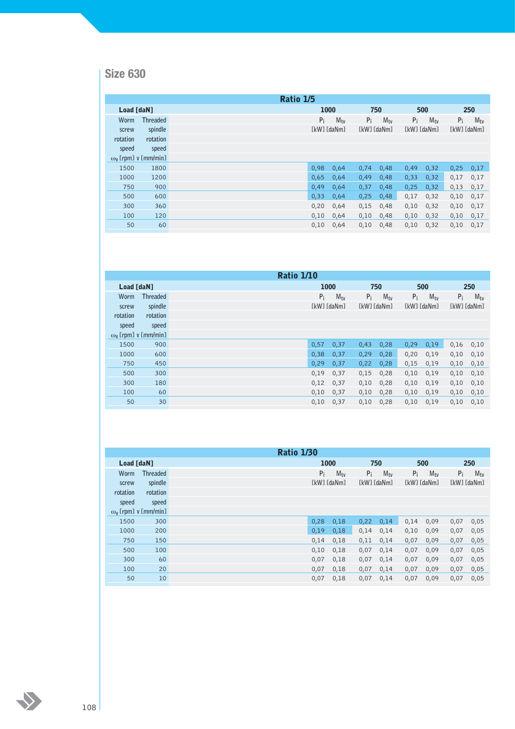## **Size 630**

|                                   |                 | Ratio 1/5 |                    |                 |                    |                 |       |                    |                    |          |
|-----------------------------------|-----------------|-----------|--------------------|-----------------|--------------------|-----------------|-------|--------------------|--------------------|----------|
| Load [daN]                        |                 |           | 1000               |                 | 750                |                 |       | 500                |                    | 250      |
| Worm                              | <b>Threaded</b> |           | $P_i$              | $M_{\text{tv}}$ | $P_i$              | $M_{\text{tv}}$ | $P_i$ | $M_{\text{tv}}$    | $P_i$              | $M_{tv}$ |
| screw                             | spindle         |           | <b>TkW1 [daNm]</b> |                 | <b>TkW1 [daNm]</b> |                 |       | <b>TkW1 [daNm]</b> | <b>TkW1 [daNm]</b> |          |
| rotation                          | rotation        |           |                    |                 |                    |                 |       |                    |                    |          |
| speed                             | speed           |           |                    |                 |                    |                 |       |                    |                    |          |
| $\omega_{\rm v}$ [rpm] v [mm/min] |                 |           |                    |                 |                    |                 |       |                    |                    |          |
| 1500                              | 1800            |           | 0,98               | 0,64            | 0,74               | 0,48            | 0,49  | 0,32               | 0,25               | 0,17     |
| 1000                              | 1200            |           | 0,65               | 0,64            | 0,49               | 0,48            | 0,33  | 0,32               | 0,17               | 0,17     |
| 750                               | 900             |           | 0,49               | 0,64            | 0,37               | 0,48            | 0,25  | 0,32               | 0,13               | 0,17     |
| 500                               | 600             |           | 0,33               | 0,64            | 0,25               | 0,48            | 0,17  | 0,32               | 0,10               | 0,17     |
| 300                               | 360             |           | 0,20               | 0,64            | 0,15               | 0,48            | 0,10  | 0,32               | 0,10               | 0,17     |
| 100                               | 120             |           | 0,10               | 0,64            | 0,10               | 0,48            | 0,10  | 0,32               | 0,10               | 0,17     |
| 50                                | 60              |           | 0,10               | 0,64            | 0,10               | 0,48            | 0,10  | 0,32               | 0,10               | 0,17     |

|             |                                   | <b>Ratio 1/10</b> |                    |                 |                    |                 |                    |                 |                    |                 |
|-------------|-----------------------------------|-------------------|--------------------|-----------------|--------------------|-----------------|--------------------|-----------------|--------------------|-----------------|
| Load [daN]  |                                   |                   | 1000               |                 | 750                |                 | 500                |                 |                    | 250             |
| <b>Worm</b> | <b>Threaded</b>                   |                   | $P_i$              | $M_{\text{tv}}$ | $P_i$              | $M_{\text{tv}}$ | $P_i$              | $M_{\text{tv}}$ | $P_i$              | $M_{\text{tv}}$ |
| screw       | spindle                           |                   | <b>TkW1 [daNm]</b> |                 | <b>TkW1 [daNm]</b> |                 | <b>TkW1 [daNm]</b> |                 | <b>TkW1 [daNm]</b> |                 |
| rotation    | rotation                          |                   |                    |                 |                    |                 |                    |                 |                    |                 |
| speed       | speed                             |                   |                    |                 |                    |                 |                    |                 |                    |                 |
|             | $\omega_{\rm v}$ [rpm] v [mm/min] |                   |                    |                 |                    |                 |                    |                 |                    |                 |
| 1500        | 900                               |                   | 0,57               | 0,37            | 0,43               | 0,28            | 0,29               | 0,19            | 0,16               | 0,10            |
| 1000        | 600                               |                   | 0,38               | 0,37            | 0,29               | 0,28            | 0,20               | 0,19            | 0,10               | 0,10            |
| 750         | 450                               |                   | 0,29               | 0,37            | 0,22               | 0,28            | 0,15               | 0,19            | 0,10               | 0,10            |
| 500         | 300                               |                   | 0,19               | 0,37            | 0,15               | 0,28            | 0,10               | 0,19            | 0,10               | 0,10            |
| 300         | 180                               |                   | 0,12               | 0,37            | 0,10               | 0,28            | 0,10               | 0,19            | 0,10               | 0,10            |
| 100         | 60                                |                   | 0,10               | 0,37            | 0,10               | 0,28            | 0,10               | 0,19            | 0,10               | 0,10            |
| 50          | 30                                |                   | 0,10               | 0,37            | 0,10               | 0,28            | 0,10               | 0,19            | 0,10               | 0,10            |

|            | <b>Ratio 1/30</b>                 |      |       |                 |                    |                 |                    |                 |             |                 |  |  |
|------------|-----------------------------------|------|-------|-----------------|--------------------|-----------------|--------------------|-----------------|-------------|-----------------|--|--|
| Load [daN] |                                   |      | 1000  |                 | 750                |                 |                    | 500             |             | 250             |  |  |
| Worm       | <b>Threaded</b>                   |      | $P_i$ | $M_{\text{tv}}$ | $P_i$              | $M_{\text{tv}}$ | $P_i$              | $M_{\text{tv}}$ | $P_i$       | $M_{\text{tv}}$ |  |  |
| screw      | spindle                           |      |       | [kW] [daNm]     | <b>TkW1 [daNm]</b> |                 | <b>TkW1 [daNm]</b> |                 | [kW] [daNm] |                 |  |  |
| rotation   | rotation                          |      |       |                 |                    |                 |                    |                 |             |                 |  |  |
| speed      | speed                             |      |       |                 |                    |                 |                    |                 |             |                 |  |  |
|            | $\omega_{\rm V}$ [rpm] v [mm/min] |      |       |                 |                    |                 |                    |                 |             |                 |  |  |
| 1500       | 300                               | 0,28 |       | 0,18            | 0,22               | 0,14            | 0,14               | 0,09            | 0,07        | 0,05            |  |  |
| 1000       | 200                               | 0,19 |       | 0,18            | 0,14               | 0,14            | 0,10               | 0,09            | 0,07        | 0,05            |  |  |
| 750        | 150                               | 0,14 |       | 0,18            | 0,11               | 0,14            | 0,07               | 0,09            | 0,07        | 0,05            |  |  |
| 500        | 100                               | 0,10 |       | 0,18            | 0,07               | 0,14            | 0,07               | 0,09            | 0,07        | 0,05            |  |  |
| 300        | 60                                | 0,07 |       | 0,18            | 0,07               | 0,14            | 0,07               | 0,09            | 0,07        | 0,05            |  |  |
| 100        | 20                                | 0,07 |       | 0,18            | 0,07               | 0,14            | 0,07               | 0,09            | 0,07        | 0,05            |  |  |
| 50         | 10                                | 0,07 |       | 0,18            | 0,07               | 0,14            | 0,07               | 0,09            | 0,07        | 0,05            |  |  |
|            |                                   |      |       |                 |                    |                 |                    |                 |             |                 |  |  |

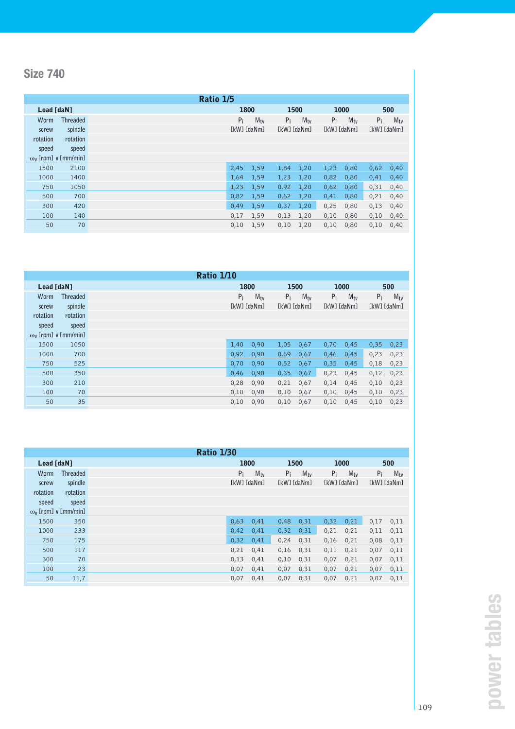# **Size 740**

|                                   |                 | Ratio 1/5 |       |                    |                    |                 |                    |                 |                    |                 |
|-----------------------------------|-----------------|-----------|-------|--------------------|--------------------|-----------------|--------------------|-----------------|--------------------|-----------------|
| Load [daN]                        |                 |           | 1800  |                    | 1500               |                 |                    | 1000            |                    | 500             |
| Worm                              | <b>Threaded</b> |           | $P_i$ | $M_{\text{tv}}$    | $P_i$              | $M_{\text{tv}}$ | $P_i$              | $M_{\text{tv}}$ | $P_i$              | $M_{\text{tv}}$ |
| screw                             | spindle         |           |       | <b>TkW1 [daNm]</b> | <b>TkW1 [daNm]</b> |                 | <b>TkW1 [daNm]</b> |                 | <b>TkW1 [daNm]</b> |                 |
| rotation                          | rotation        |           |       |                    |                    |                 |                    |                 |                    |                 |
| speed                             | speed           |           |       |                    |                    |                 |                    |                 |                    |                 |
| $\omega_{\rm V}$ [rpm] v [mm/min] |                 |           |       |                    |                    |                 |                    |                 |                    |                 |
| 1500                              | 2100            |           | 2,45  | 1,59               | 1,84               | 1,20            | 1,23               | 0,80            | 0,62               | 0,40            |
| 1000                              | 1400            |           | 1,64  | 1,59               | 1,23               | 1,20            | 0,82               | 0,80            | 0,41               | 0,40            |
| 750                               | 1050            |           | 1,23  | 1,59               | 0,92               | 1,20            | 0,62               | 0,80            | 0,31               | 0,40            |
| 500                               | 700             |           | 0,82  | 1,59               | 0,62               | 1,20            | 0,41               | 0,80            | 0,21               | 0,40            |
| 300                               | 420             |           | 0,49  | 1,59               | 0,37               | 1,20            | 0,25               | 0,80            | 0,13               | 0,40            |
| 100                               | 140             |           | 0,17  | 1,59               | 0,13               | 1,20            | 0,10               | 0,80            | 0,10               | 0,40            |
| 50                                | 70              |           | 0,10  | 1,59               | 0,10               | 1,20            | 0,10               | 0,80            | 0,10               | 0,40            |

|            |                                   | <b>Ratio 1/10</b> |                    |                 |                    |                 |                    |                 |                    |                 |
|------------|-----------------------------------|-------------------|--------------------|-----------------|--------------------|-----------------|--------------------|-----------------|--------------------|-----------------|
| Load [daN] |                                   |                   | 1800               |                 | 1500               |                 |                    | 1000            |                    | 500             |
| Worm       | <b>Threaded</b>                   |                   | $P_i$              | $M_{\text{tv}}$ | $P_i$              | $M_{\text{tv}}$ | $P_i$              | $M_{\text{tv}}$ | $P_i$              | $M_{\text{tv}}$ |
| screw      | spindle                           |                   | <b>TkW1 [daNm]</b> |                 | <b>TkW1 [daNm]</b> |                 | <b>TkW1 [daNm]</b> |                 | <b>TkW1 [daNm]</b> |                 |
| rotation   | rotation                          |                   |                    |                 |                    |                 |                    |                 |                    |                 |
| speed      | speed                             |                   |                    |                 |                    |                 |                    |                 |                    |                 |
|            | $\omega_{\rm v}$ [rpm] v [mm/min] |                   |                    |                 |                    |                 |                    |                 |                    |                 |
| 1500       | 1050                              |                   | 1,40               | 0,90            | 1,05               | 0,67            | 0,70               | 0,45            | 0,35               | 0,23            |
| 1000       | 700                               |                   | 0,92               | 0,90            | 0,69               | 0,67            | 0,46               | 0,45            | 0,23               | 0,23            |
| 750        | 525                               |                   | 0,70               | 0,90            | 0,52               | 0,67            | 0,35               | 0,45            | 0,18               | 0,23            |
| 500        | 350                               |                   | 0,46               | 0,90            | 0,35               | 0,67            | 0,23               | 0,45            | 0,12               | 0,23            |
| 300        | 210                               |                   | 0,28               | 0,90            | 0,21               | 0,67            | 0,14               | 0,45            | 0,10               | 0,23            |
| 100        | 70                                |                   | 0,10               | 0,90            | 0,10               | 0,67            | 0,10               | 0,45            | 0,10               | 0,23            |
| 50         | 35                                |                   | 0,10               | 0,90            | 0,10               | 0,67            | 0,10               | 0,45            | 0,10               | 0,23            |

|                                   |                 | <b>Ratio 1/30</b> |       |                    |                    |                 |                    |                 |                    |                 |
|-----------------------------------|-----------------|-------------------|-------|--------------------|--------------------|-----------------|--------------------|-----------------|--------------------|-----------------|
| Load [daN]                        |                 |                   | 1800  |                    | 1500               |                 |                    | 1000            |                    | 500             |
| Worm                              | <b>Threaded</b> |                   | $P_i$ | $M_{\text{tv}}$    | $P_i$              | $M_{\text{tv}}$ | P <sub>i</sub>     | $M_{\text{tv}}$ | $P_i$              | $M_{\text{tv}}$ |
| screw                             | spindle         |                   |       | <b>TkW1 [daNm]</b> | <b>TkW1 [daNm]</b> |                 | <b>TkW1 [daNm]</b> |                 | <b>TkW1 [daNm]</b> |                 |
| rotation                          | rotation        |                   |       |                    |                    |                 |                    |                 |                    |                 |
| speed                             | speed           |                   |       |                    |                    |                 |                    |                 |                    |                 |
| $\omega_{\rm V}$ [rpm] v [mm/min] |                 |                   |       |                    |                    |                 |                    |                 |                    |                 |
| 1500                              | 350             | 0,63              |       | 0,41               | 0,48               | 0,31            | 0,32               | 0,21            | 0,17               | 0,11            |
| 1000                              | 233             | 0,42              |       | 0,41               | 0,32               | 0,31            | 0,21               | 0,21            | 0,11               | 0,11            |
| 750                               | 175             | 0,32              |       | 0,41               | 0,24               | 0,31            | 0,16               | 0,21            | 0,08               | 0,11            |
| 500                               | 117             | 0,21              |       | 0,41               | 0,16               | 0,31            | 0,11               | 0,21            | 0,07               | 0,11            |
| 300                               | 70              | 0,13              |       | 0,41               | 0,10               | 0,31            | 0,07               | 0,21            | 0,07               | 0,11            |
| 100                               | 23              | 0,07              |       | 0,41               | 0,07               | 0,31            | 0,07               | 0,21            | 0,07               | 0,11            |
| 50                                | 11,7            | 0,07              |       | 0,41               | 0,07               | 0,31            | 0,07               | 0,21            | 0,07               | 0,11            |
|                                   |                 |                   |       |                    |                    |                 |                    |                 |                    |                 |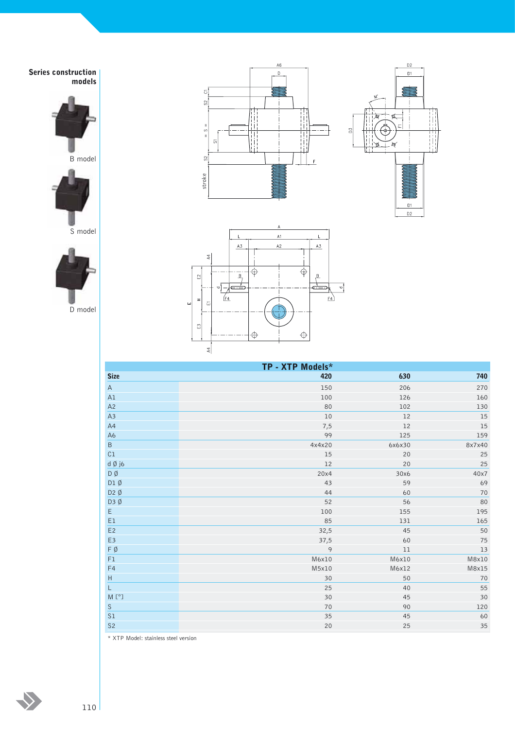





|                                     | *∣               |        |        |
|-------------------------------------|------------------|--------|--------|
|                                     | TP - XTP Models* |        |        |
| <b>Size</b>                         | 420              | 630    | 740    |
| A                                   | 150              | 206    | 270    |
| A1                                  | 100              | 126    | 160    |
| A2                                  | 80               | 102    | 130    |
| A3                                  | 10               | 12     | 15     |
| A4                                  | 7,5              | 12     | 15     |
| A <sub>6</sub>                      | 99               | 125    | 159    |
| $\sf B$                             | 4x4x20           | 6x6x30 | 8x7x40 |
| C1                                  | 15               | 20     | 25     |
| $d \emptyset j6$                    | 12               | 20     | 25     |
| DØ                                  | 20x4             | 30x6   | 40x7   |
| D1Ø                                 | 43               | 59     | 69     |
| D <sub>2</sub> Ø                    | 44               | 60     | 70     |
| D3Ø                                 | 52               | 56     | 80     |
| $\mathsf E$                         | 100              | 155    | 195    |
| E1                                  | 85               | 131    | 165    |
| E2                                  | 32,5             | 45     | 50     |
| E3                                  | 37,5             | 60     | 75     |
| $F \emptyset$                       | 9                | 11     | 13     |
| F1                                  | M6x10            | M6x10  | M8x10  |
| F4                                  | M5x10            | M6x12  | M8x15  |
| $\boldsymbol{\mathsf{H}}$           | 30               | 50     | 70     |
| L                                   | 25               | 40     | 55     |
| $\mathbb{M}$ $\mathbb{C}^{\circ}$ ] | 30               | 45     | 30     |
| $\mathsf S$                         | 70               | 90     | 120    |
| S <sub>1</sub>                      | 35               | 45     | 60     |
| S <sub>2</sub>                      | 20               | 25     | 35     |

\* XTP Model: stainless steel version

**Series construction models**



S model



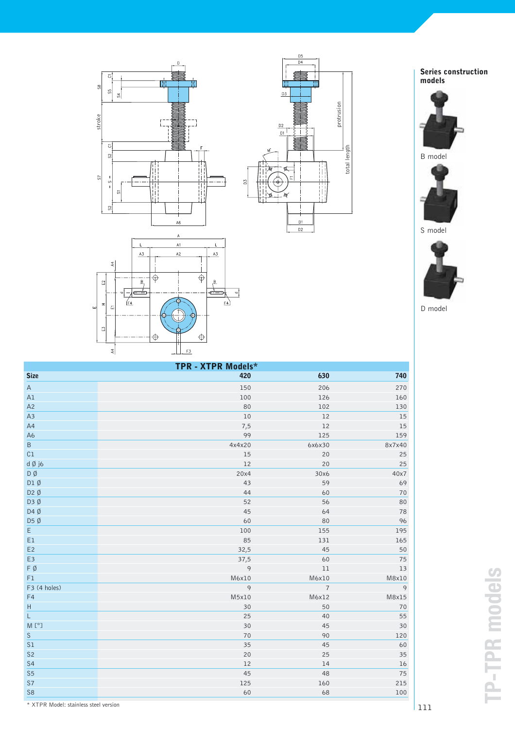**Series construction models**





S model

D model







| <b>TPR - XTPR Models*</b> |           |                |         |  |  |  |  |
|---------------------------|-----------|----------------|---------|--|--|--|--|
| <b>Size</b>               | 420       | 630            | 740     |  |  |  |  |
| $\mathsf{A}$              | 150       | 206            | 270     |  |  |  |  |
| A1                        | 100       | 126            | 160     |  |  |  |  |
| A2                        | 80        | 102            | 130     |  |  |  |  |
| A3                        | 10        | 12             | 15      |  |  |  |  |
| A4                        | 7,5       | 12             | 15      |  |  |  |  |
| A <sub>6</sub>            | 99        | 125            | 159     |  |  |  |  |
| $\mathsf B$               | 4x4x20    | 6x6x30         | 8x7x40  |  |  |  |  |
| C1                        | 15        | 20             | 25      |  |  |  |  |
| dØj6                      | $12$      | 20             | 25      |  |  |  |  |
| DØ                        | 20x4      | 30x6           | 40x7    |  |  |  |  |
| D1Ø                       | 43        | 59             | 69      |  |  |  |  |
| $D2 \emptyset$            | 44        | 60             | 70      |  |  |  |  |
| $D3 \emptyset$            | 52        | 56             | 80      |  |  |  |  |
| $D4 \emptyset$            | 45        | 64             | 78      |  |  |  |  |
| $D5 \emptyset$            | 60        | 80             | 96      |  |  |  |  |
| E                         | 100       | 155            | 195     |  |  |  |  |
| E1                        | 85        | 131            | 165     |  |  |  |  |
| E2                        | 32,5      | 45             | 50      |  |  |  |  |
| E <sub>3</sub>            | 37,5      | 60             | 75      |  |  |  |  |
| FØ                        | $\,$ $\,$ | 11             | 13      |  |  |  |  |
| F1                        | M6x10     | M6x10          | M8x10   |  |  |  |  |
| F3 (4 holes)              | $\,$ $\,$ | $\overline{7}$ | $\circ$ |  |  |  |  |
| F4                        | M5x10     | M6x12          | M8x15   |  |  |  |  |
| H                         | 30        | 50             | 70      |  |  |  |  |
| $\mathsf L$               | 25        | 40             | 55      |  |  |  |  |
| $M \Gamma^{\circ}$ ]      | $30$      | 45             | 30      |  |  |  |  |
| $\mathsf S$               | 70        | 90             | 120     |  |  |  |  |
| S1                        | 35        | 45             | 60      |  |  |  |  |
| S <sub>2</sub>            | $20\,$    | 25             | 35      |  |  |  |  |
| S <sub>4</sub>            | $12\,$    | 14             | 16      |  |  |  |  |
| S <sub>5</sub>            | 45        | 48             | 75      |  |  |  |  |
| S7                        | 125       | 160            | 215     |  |  |  |  |
| S <sub>8</sub>            | 60        | 68             | 100     |  |  |  |  |
|                           |           |                |         |  |  |  |  |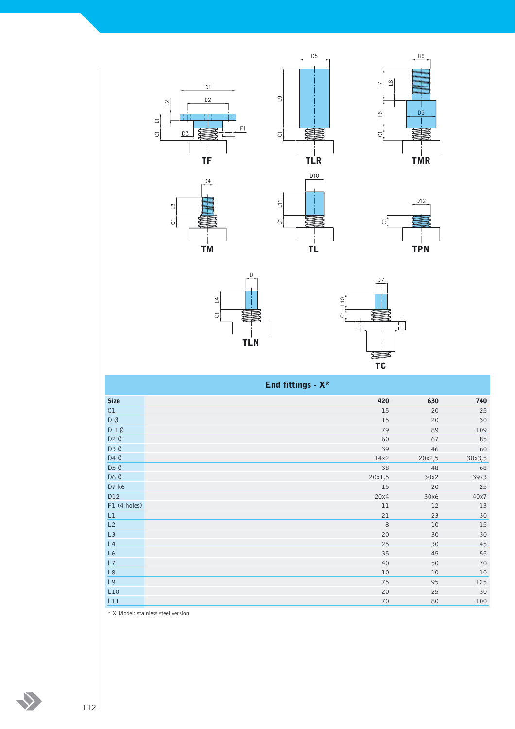

 $\boxed{5}$ ਠ[



 $\Xi$ 

ਨ $\vert$ 

菖









|                  | End fittings - $X^*$ |        |        |
|------------------|----------------------|--------|--------|
| <b>Size</b>      | 420                  | 630    | 740    |
| C1               | 15                   | 20     | 25     |
| DØ               | 15                   | 20     | 30     |
| $D_1$ Ø          | 79                   | 89     | 109    |
| D <sub>2</sub> Ø | 60                   | 67     | 85     |
| D3Ø              | 39                   | 46     | 60     |
| $D4 \emptyset$   | 14x2                 | 20x2,5 | 30x3,5 |
| D5Ø              | 38                   | 48     | 68     |
| D6 Ø             | 20x1,5               | 30x2   | 39x3   |
| D7 k6            | 15                   | 20     | 25     |
| D12              | 20x4                 | 30x6   | 40x7   |
| F1 (4 holes)     | 11                   | 12     | 13     |
| L1               | 21                   | 23     | 30     |
| L2               | 8                    | 10     | 15     |
| L3               | 20                   | 30     | 30     |
| L4               | 25                   | 30     | 45     |
| L6               | 35                   | 45     | 55     |
| L7               | 40                   | 50     | 70     |
| L8               | 10                   | 10     | $10$   |
| L9               | 75                   | 95     | 125    |
| L10              | 20                   | 25     | 30     |
| L11              | 70                   | 80     | 100    |

\* X Model: stainless steel version

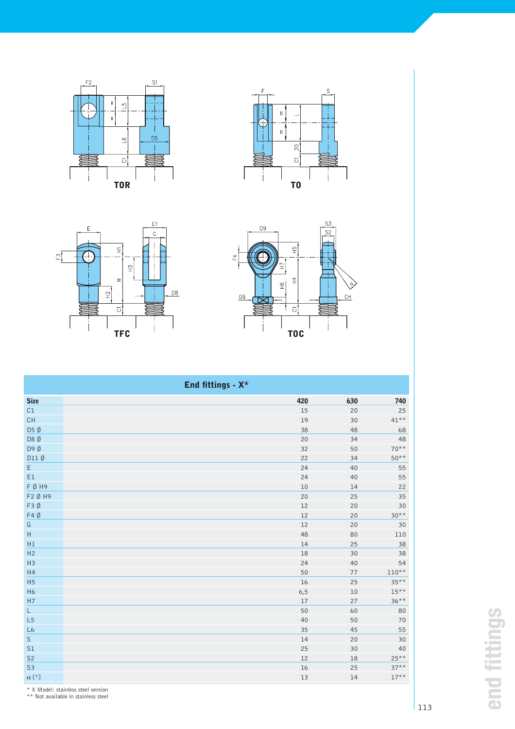







|                  | End fittings - $X^*$ |     |         |
|------------------|----------------------|-----|---------|
| <b>Size</b>      | 420                  | 630 | 740     |
| C1               | 15                   | 20  | 25      |
| CH               | 19                   | 30  | $41***$ |
| $D5 \emptyset$   | 38                   | 48  | 68      |
| D8Ø              | 20                   | 34  | 48      |
| D9Ø              | 32                   | 50  | $70***$ |
| $D11 \emptyset$  | 22                   | 34  | $50**$  |
| E,               | 24                   | 40  | 55      |
| E1               | 24                   | 40  | 55      |
| FØH9             | 10                   | 14  | 22      |
| F2 Ø H9          | 20                   | 25  | 35      |
| F <sub>3</sub> Ø | 12                   | 20  | 30      |
| $F4 \emptyset$   | 12                   | 20  | $30**$  |
| G                | 12                   | 20  | 30      |
| H                | 48                   | 80  | 110     |
| H1               | 14                   | 25  | 38      |
| H <sub>2</sub>   | 18                   | 30  | 38      |
| H3               | 24                   | 40  | 54      |
| H4               | 50                   | 77  | $110**$ |
| H <sub>5</sub>   | 16                   | 25  | $35***$ |
| H <sub>6</sub>   | 6, 5                 | 10  | $15***$ |
| H7               | 17                   | 27  | $36***$ |
| L.               | 50                   | 60  | 80      |
| L5               | 40                   | 50  | 70      |
| L6               | 35                   | 45  | 55      |
| S                | 14                   | 20  | 30      |
| S <sub>1</sub>   | 25                   | 30  | 40      |
| S <sub>2</sub>   | 12                   | 18  | $25***$ |
| S <sub>3</sub>   | 16                   | 25  | $37**$  |
| $\alpha$ [°]     | 13                   | 14  | $17***$ |

\* X Model: stainless steel version

\*\* Not available in stainless steel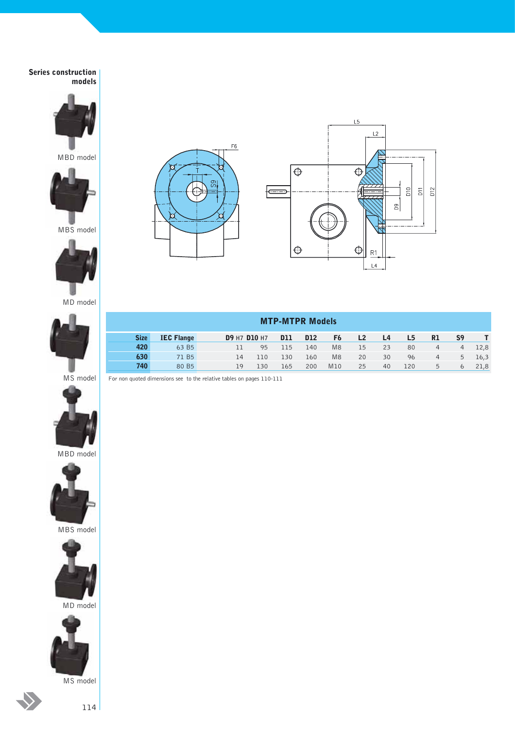#### **Series construction models**



MBD model











MBD model



MBS model



MD model



MS model







MD model



MS model









| <b>MTP-MTPR Models</b> |                   |    |              |     |                 |                |                |    |     |                |    |      |
|------------------------|-------------------|----|--------------|-----|-----------------|----------------|----------------|----|-----|----------------|----|------|
| <b>Size</b>            | <b>IEC Flange</b> |    | D9 H7 D10 H7 | D11 | D <sub>12</sub> | F6             | L <sub>2</sub> | L4 | L5  | R1             | S9 |      |
| 420                    | 63 B <sub>5</sub> |    | 95           | 115 | 140             | M <sub>8</sub> | 15             | 23 | 80  | $\overline{4}$ | 4  | 12.8 |
| 630                    | 71 B <sub>5</sub> | 14 | 110          | 130 | 160             | M <sub>8</sub> | 20             | 30 | 96  | 4              | 5  | 16,3 |
| 740                    | 80 B <sub>5</sub> | 19 | 130          | 165 | 200             | M10            | 25             | 40 | 120 | 5              | 6  | 21,8 |

For non quoted dimensions see to the relative tables on pages 110-111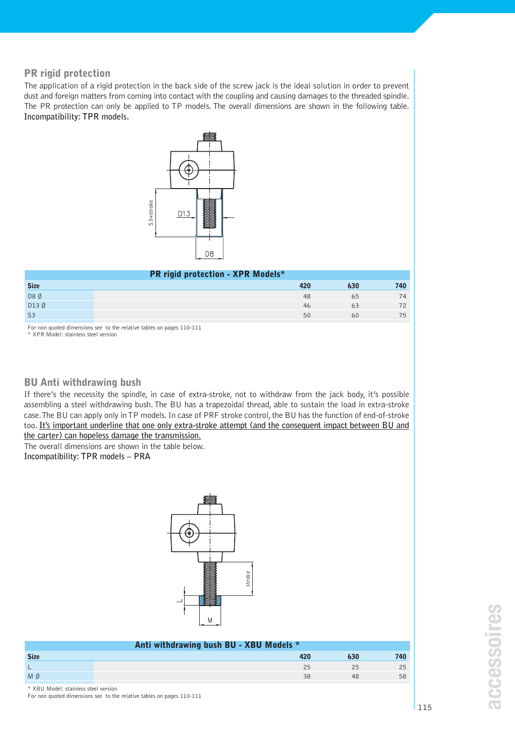## **PR rigid protection**

The application of a rigid protection in the back side of the screw jack is the ideal solution in order to prevent dust and foreign matters from coming into contact with the coupling and causing damages to the threaded spindle. The PR protection can only be applied to TP models. The overall dimensions are shown in the following table. **Incompatibility: TPR models.**



| <b>PR rigid protection - XPR Models*</b> |     |     |     |  |  |  |  |
|------------------------------------------|-----|-----|-----|--|--|--|--|
| <b>Size</b>                              | 420 | 630 | 740 |  |  |  |  |
| $D8$ Ø                                   | 48  | 65  | 74  |  |  |  |  |
| D13 Ø                                    | 46  | 63  | フフ  |  |  |  |  |
| S <sub>3</sub>                           | 50  | 60  | 75  |  |  |  |  |
|                                          |     |     |     |  |  |  |  |

For non quoted dimensions see to the relative tables on pages 110-111

\* XPR Model: stainless steel version

## **BU Anti withdrawing bush**

If there's the necessity the spindle, in case of extra-stroke, not to withdraw from the jack body, it's possible assembling a steel withdrawing bush. The BU has a trapezoidal thread, able to sustain the load in extra-stroke case. The BU can apply only in TP models. In case of PRF stroke control, the BU has the function of end-of-stroke too. **It's important underline that one only extra-stroke attempt (and the consequent impact between BU and**

**the carter) can hopeless damage the transmission.** The overall dimensions are shown in the table below.

**Incompatibility: TPR models – PRA**



| Anti withdrawing bush BU - XBU Models * |     |     |     |  |  |  |  |
|-----------------------------------------|-----|-----|-----|--|--|--|--|
| <b>Size</b>                             | 420 | 630 | 740 |  |  |  |  |
|                                         | 25  | 25  | 25  |  |  |  |  |
| M Ø                                     | 38  | 48  | 58  |  |  |  |  |
|                                         |     |     |     |  |  |  |  |

\* XBU Model: stainless steel version For non quoted dimensions see to the relative tables on pages 110-111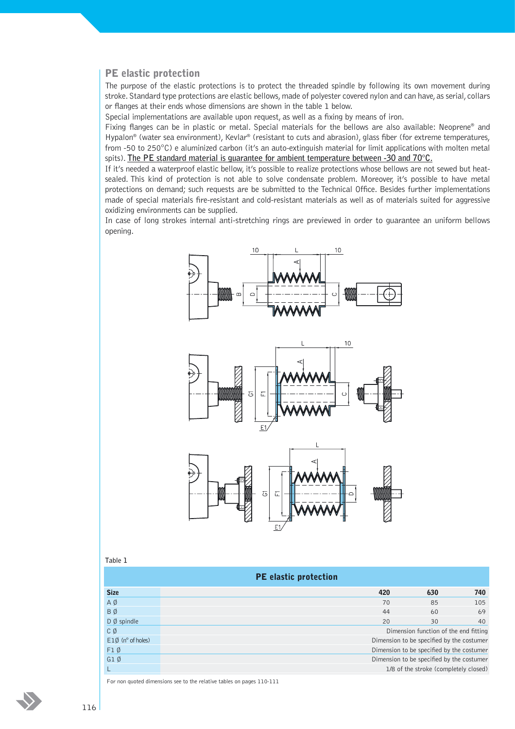## **PE elastic protection**

The purpose of the elastic protections is to protect the threaded spindle by following its own movement during stroke. Standard type protections are elastic bellows, made of polyester covered nylon and can have, as serial, collars or flanges at their ends whose dimensions are shown in the table 1 below.

Special implementations are available upon request, as well as a fixing by means of iron.

Fixing flanges can be in plastic or metal. Special materials for the bellows are also available: Neoprene<sup>®</sup> and Hypalon® (water sea environment), Kevlar® (resistant to cuts and abrasion), glass fiber (for extreme temperatures, from -50 to 250°C) e aluminized carbon (it's an auto-extinguish material for limit applications with molten metal spits). **The PE standard material is guarantee for ambient temperature between -30 and 70°C.**

If it's needed a waterproof elastic bellow, it's possible to realize protections whose bellows are not sewed but heatsealed. This kind of protection is not able to solve condensate problem. Moreover, it's possible to have metal protections on demand; such requests are be submitted to the Technical Office. Besides further implementations made of special materials fire-resistant and cold-resistant materials as well as of materials suited for aggressive oxidizing environments can be supplied.

In case of long strokes internal anti-stretching rings are previewed in order to guarantee an uniform bellows opening.



#### **Table 1**

|                             | <b>PE</b> elastic protection |                                           |     |
|-----------------------------|------------------------------|-------------------------------------------|-----|
| <b>Size</b>                 | 420                          | 630                                       | 740 |
| AØ                          | 70                           | 85                                        | 105 |
| BØ                          | 44                           | 60                                        | 69  |
| $D$ Ø spindle               | 20                           | 30                                        | 40  |
| СØ                          |                              | Dimension function of the end fitting     |     |
| $E1\emptyset$ (n° of holes) |                              | Dimension to be specified by the costumer |     |
| $F1$ Ø                      |                              | Dimension to be specified by the costumer |     |
| $G1$ Ø                      |                              | Dimension to be specified by the costumer |     |
|                             |                              | 1/8 of the stroke (completely closed)     |     |

For non quoted dimensions see to the relative tables on pages 110-111

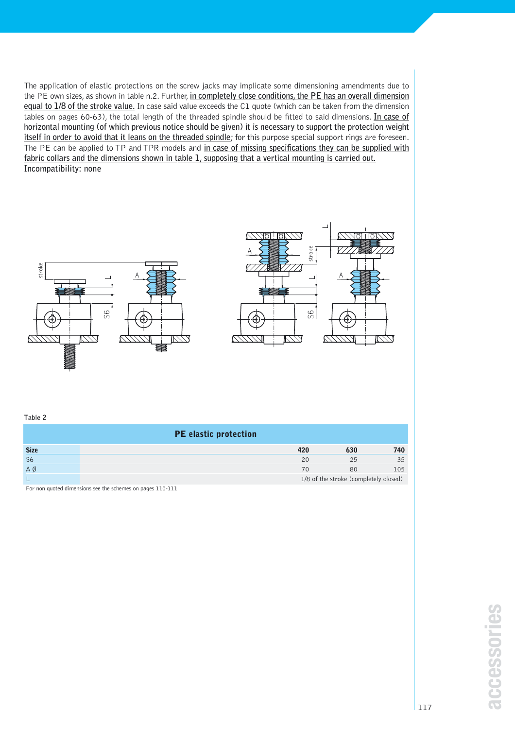The application of elastic protections on the screw jacks may implicate some dimensioning amendments due to the PE own sizes, as shown in table n.2. Further, **in completely close conditions, the PE has an overall dimension equal to 1/8 of the stroke value.** In case said value exceeds the C1 quote (which can be taken from the dimension tables on pages 60-63), the total length of the threaded spindle should be fitted to said dimensions. **In case of horizontal mounting (of which previous notice should be given) it is necessary to support the protection weight itself in order to avoid that it leans on the threaded spindle**; for this purpose special support rings are foreseen. The PE can be applied to TP and TPR models and **in case of missing specifications they can be supplied with fabric collars and the dimensions shown in table 1, supposing that a vertical mounting is carried out. Incompatibility: none**





**Table 2**

|             | <b>PE</b> elastic protection |                                       |     |
|-------------|------------------------------|---------------------------------------|-----|
| <b>Size</b> | 420                          | 630                                   | 740 |
| S6          | 20                           | 25                                    | 35  |
| AØ          | 70                           | 80                                    | 105 |
|             |                              | 1/8 of the stroke (completely closed) |     |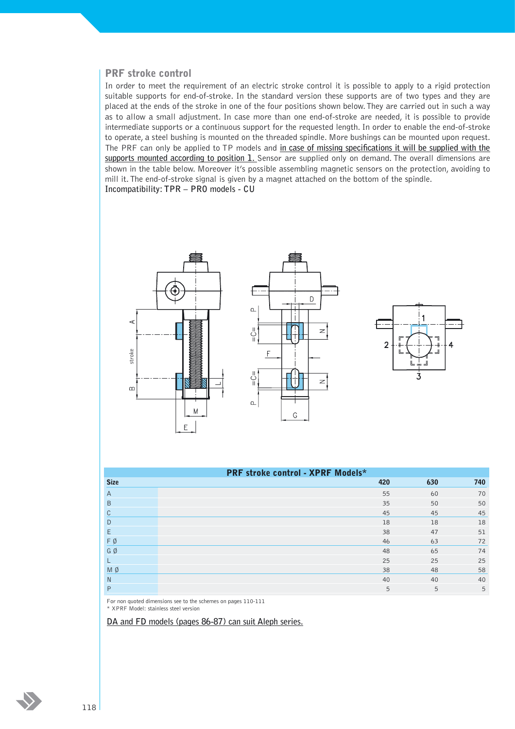#### **PRF stroke control**

In order to meet the requirement of an electric stroke control it is possible to apply to a rigid protection suitable supports for end-of-stroke. In the standard version these supports are of two types and they are placed at the ends of the stroke in one of the four positions shown below.They are carried out in such a way as to allow a small adjustment. In case more than one end-of-stroke are needed, it is possible to provide intermediate supports or a continuous support for the requested length. In order to enable the end-of-stroke to operate, a steel bushing is mounted on the threaded spindle. More bushings can be mounted upon request. The PRF can only be applied to TP models and **in case of missing specifications it will be supplied with the supports mounted according to position 1.** Sensor are supplied only on demand. The overall dimensions are shown in the table below. Moreover it's possible assembling magnetic sensors on the protection, avoiding to mill it.The end-of-stroke signal is given by a magnet attached on the bottom of the spindle. **Incompatibility: TPR – PRO models - CU**







| stroke<br>$\infty$                                                                                                                                              | F<br>$\bigcup_{n=1}^{\infty}$<br>$\mathbb Z$<br>$\mathrel{\mathsf{a}}$<br>M<br>G<br>E |     | ╚<br>ᅴ<br>خ حا<br>3 |     |
|-----------------------------------------------------------------------------------------------------------------------------------------------------------------|---------------------------------------------------------------------------------------|-----|---------------------|-----|
|                                                                                                                                                                 | PRF stroke control - XPRF Models*                                                     |     |                     |     |
| <b>Size</b>                                                                                                                                                     |                                                                                       | 420 | 630                 | 740 |
| A                                                                                                                                                               |                                                                                       | 55  | 60                  | 70  |
| $\mathsf B$                                                                                                                                                     |                                                                                       | 35  | 50                  | 50  |
| $\mathsf C$                                                                                                                                                     |                                                                                       | 45  | 45                  | 45  |
| D                                                                                                                                                               |                                                                                       | 18  | 18                  | 18  |
| $\mathsf E$                                                                                                                                                     |                                                                                       | 38  | 47                  | 51  |
| FØ                                                                                                                                                              |                                                                                       | 46  | 63                  | 72  |
| GØ                                                                                                                                                              |                                                                                       | 48  | 65                  | 74  |
| L                                                                                                                                                               |                                                                                       | 25  | 25                  | 25  |
| MØ                                                                                                                                                              |                                                                                       | 38  | 48                  | 58  |
| $\mathsf{N}$                                                                                                                                                    |                                                                                       | 40  | 40                  | 40  |
| P                                                                                                                                                               |                                                                                       | 5   | 5                   | 5   |
| For non quoted dimensions see to the schemes on pages 110-111<br>* XPRF Model: stainless steel version<br>DA and FD models (pages 86-87) can suit Aleph series. |                                                                                       |     |                     |     |